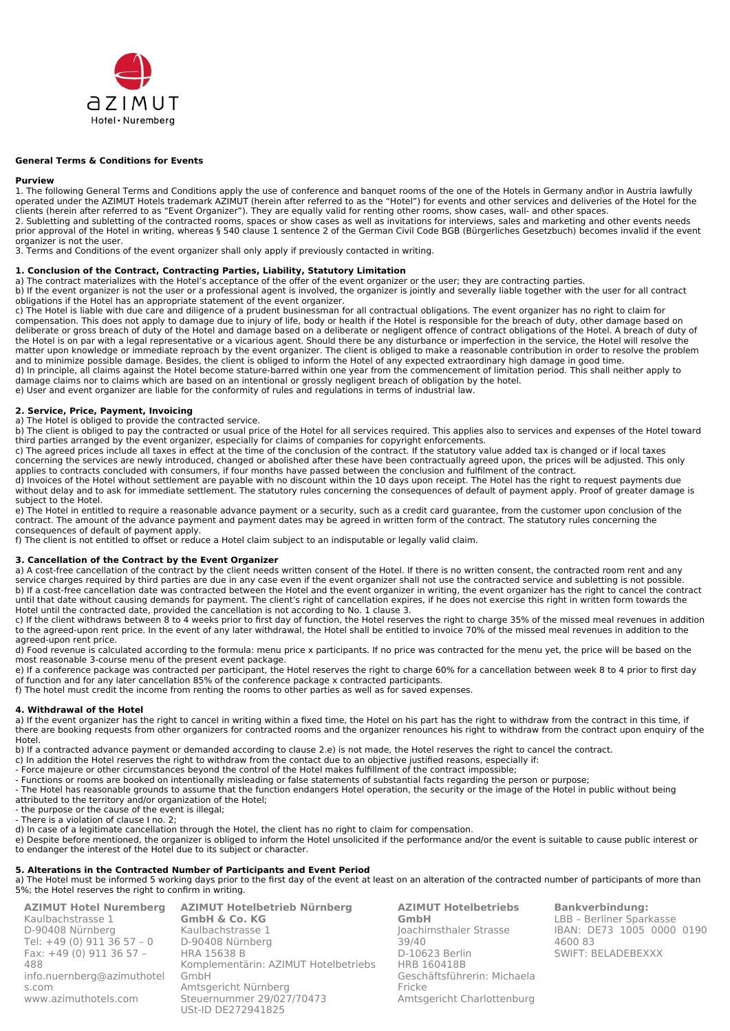

#### **General Terms & Conditions for Events**

#### **Purview**

1. The following General Terms and Conditions apply the use of conference and banquet rooms of the one of the Hotels in Germany and\or in Austria lawfully operated under the AZIMUT Hotels trademark AZIMUT (herein after referred to as the "Hotel") for events and other services and deliveries of the Hotel for the clients (herein after referred to as "Event Organizer"). They are equally valid for renting other rooms, show cases, wall- and other spaces. 2. Subletting and subletting of the contracted rooms, spaces or show cases as well as invitations for interviews, sales and marketing and other events needs prior approval of the Hotel in writing, whereas § 540 clause 1 sentence 2 of the German Civil Code BGB (Bürgerliches Gesetzbuch) becomes invalid if the event organizer is not the user.

3. Terms and Conditions of the event organizer shall only apply if previously contacted in writing.

#### **1. Conclusion of the Contract, Contracting Parties, Liability, Statutory Limitation**

a) The contract materializes with the Hotel's acceptance of the offer of the event organizer or the user; they are contracting parties.

b) If the event organizer is not the user or a professional agent is involved, the organizer is jointly and severally liable together with the user for all contract obligations if the Hotel has an appropriate statement of the event organizer.

c) The Hotel is liable with due care and diligence of a prudent businessman for all contractual obligations. The event organizer has no right to claim for compensation. This does not apply to damage due to injury of life, body or health if the Hotel is responsible for the breach of duty, other damage based on deliberate or gross breach of duty of the Hotel and damage based on a deliberate or negligent offence of contract obligations of the Hotel. A breach of duty of the Hotel is on par with a legal representative or a vicarious agent. Should there be any disturbance or imperfection in the service, the Hotel will resolve the matter upon knowledge or immediate reproach by the event organizer. The client is obliged to make a reasonable contribution in order to resolve the problem and to minimize possible damage. Besides, the client is obliged to inform the Hotel of any expected extraordinary high damage in good time. d) In principle, all claims against the Hotel become stature-barred within one year from the commencement of limitation period. This shall neither apply to

damage claims nor to claims which are based on an intentional or grossly negligent breach of obligation by the hotel. e) User and event organizer are liable for the conformity of rules and regulations in terms of industrial law.

## **2. Service, Price, Payment, Invoicing**

a) The Hotel is obliged to provide the contracted service.

b) The client is obliged to pay the contracted or usual price of the Hotel for all services required. This applies also to services and expenses of the Hotel toward third parties arranged by the event organizer, especially for claims of companies for copyright enforcements.

c) The agreed prices include all taxes in effect at the time of the conclusion of the contract. If the statutory value added tax is changed or if local taxes concerning the services are newly introduced, changed or abolished after these have been contractually agreed upon, the prices will be adjusted. This only applies to contracts concluded with consumers, if four months have passed between the conclusion and fulfilment of the contract.

d) Invoices of the Hotel without settlement are payable with no discount within the 10 days upon receipt. The Hotel has the right to request payments due without delay and to ask for immediate settlement. The statutory rules concerning the consequences of default of payment apply. Proof of greater damage is subject to the Hotel.

e) The Hotel in entitled to require a reasonable advance payment or a security, such as a credit card guarantee, from the customer upon conclusion of the contract. The amount of the advance payment and payment dates may be agreed in written form of the contract. The statutory rules concerning the consequences of default of payment apply.

f) The client is not entitled to offset or reduce a Hotel claim subject to an indisputable or legally valid claim.

#### **3. Cancellation of the Contract by the Event Organizer**

a) A cost-free cancellation of the contract by the client needs written consent of the Hotel. If there is no written consent, the contracted room rent and any service charges required by third parties are due in any case even if the event organizer shall not use the contracted service and subletting is not possible. b) If a cost-free cancellation date was contracted between the Hotel and the event organizer in writing, the event organizer has the right to cancel the contract until that date without causing demands for payment. The client's right of cancellation expires, if he does not exercise this right in written form towards the Hotel until the contracted date, provided the cancellation is not according to No. 1 clause 3.

c) If the client withdraws between 8 to 4 weeks prior to first day of function, the Hotel reserves the right to charge 35% of the missed meal revenues in addition to the agreed-upon rent price. In the event of any later withdrawal, the Hotel shall be entitled to invoice 70% of the missed meal revenues in addition to the agreed-upon rent price.

d) Food revenue is calculated according to the formula: menu price x participants. If no price was contracted for the menu yet, the price will be based on the most reasonable 3-course menu of the present event package.

e) If a conference package was contracted per participant, the Hotel reserves the right to charge 60% for a cancellation between week 8 to 4 prior to first day of function and for any later cancellation 85% of the conference package x contracted participants.

f) The hotel must credit the income from renting the rooms to other parties as well as for saved expenses.

#### **4. Withdrawal of the Hotel**

a) If the event organizer has the right to cancel in writing within a fixed time, the Hotel on his part has the right to withdraw from the contract in this time, if there are booking requests from other organizers for contracted rooms and the organizer renounces his right to withdraw from the contract upon enquiry of the Hotel.

b) If a contracted advance payment or demanded according to clause 2.e) is not made, the Hotel reserves the right to cancel the contract.

- c) In addition the Hotel reserves the right to withdraw from the contact due to an objective justified reasons, especially if:
- Force majeure or other circumstances beyond the control of the Hotel makes fulfillment of the contract impossible;
- Functions or rooms are booked on intentionally misleading or false statements of substantial facts regarding the person or purpose;

- The Hotel has reasonable grounds to assume that the function endangers Hotel operation, the security or the image of the Hotel in public without being attributed to the territory and/or organization of the Hotel;

- the purpose or the cause of the event is illegal;

- There is a violation of clause I no. 2;

d) In case of a legitimate cancellation through the Hotel, the client has no right to claim for compensation.

e) Despite before mentioned, the organizer is obliged to inform the Hotel unsolicited if the performance and/or the event is suitable to cause public interest or to endanger the interest of the Hotel due to its subject or character.

#### **5. Alterations in the Contracted Number of Participants and Event Period**

a) The Hotel must be informed 5 working days prior to the first day of the event at least on an alteration of the contracted number of participants of more than 5%; the Hotel reserves the right to confirm in writing.

| <b>AZIMUT Hotel Nuremberg</b> | <b>AZIMUT Hotelbetrieb Nürnberg</b>  |
|-------------------------------|--------------------------------------|
| Kaulbachstrasse 1             | <b>GmbH &amp; Co. KG</b>             |
| D-90408 Nürnberg              | Kaulbachstrasse 1                    |
| Tel: $+49$ (0) 911 36 57 - 0  | D-90408 Nürnberg                     |
| Fax: +49 (0) 911 36 57 -      | <b>HRA 15638 B</b>                   |
| 488                           | Komplementärin: AZIMUT Hotelbetriebs |
| info.nuernberg@azimuthotel    | GmbH                                 |
| s.com                         | Amtsgericht Nürnberg                 |
| www.azimuthotels.com          | Steuernummer 29/027/70473            |
|                               | USt-ID DE272941825                   |

**AZIMUT Hotelbetriebs GmbH** Joachimsthaler Strasse  $39/40$ D-10623 Berlin HRB 160418B Geschäftsführerin: Michaela Fricke Amtsgericht Charlottenburg

**Bankverbindung:** LBB – Berliner Sparkasse IBAN: DE73 1005 0000 0190 4600 83 SWIFT: BELADEBEXXX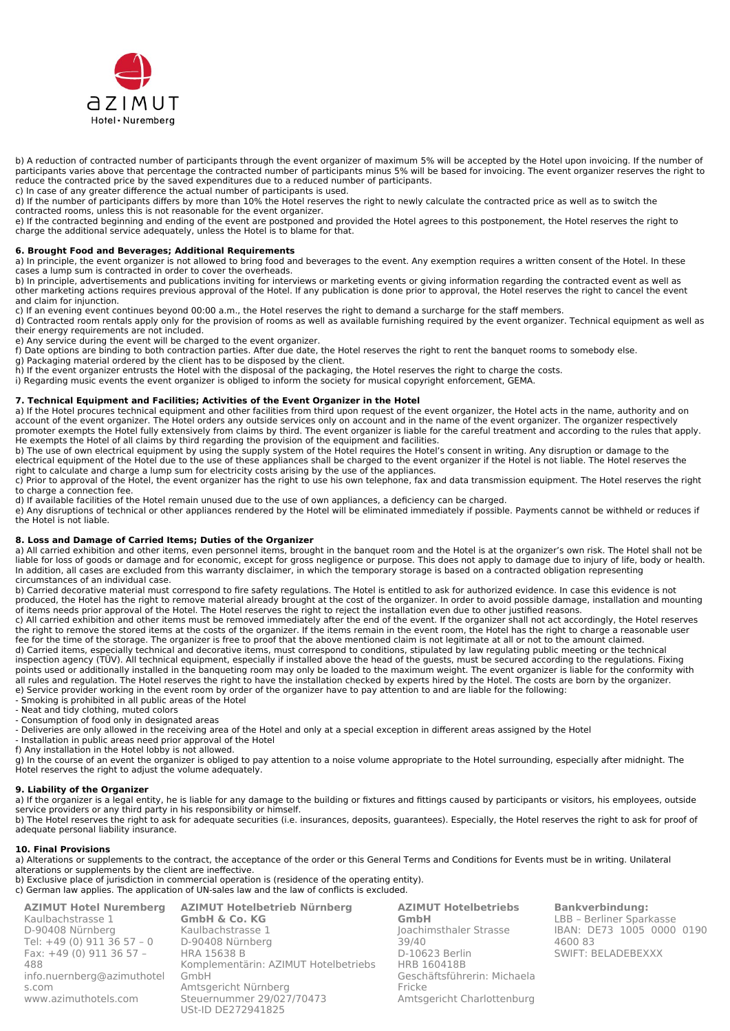

b) A reduction of contracted number of participants through the event organizer of maximum 5% will be accepted by the Hotel upon invoicing. If the number of participants varies above that percentage the contracted number of participants minus 5% will be based for invoicing. The event organizer reserves the right to reduce the contracted price by the saved expenditures due to a reduced number of participants.

c) In case of any greater difference the actual number of participants is used.

d) If the number of participants differs by more than 10% the Hotel reserves the right to newly calculate the contracted price as well as to switch the contracted rooms, unless this is not reasonable for the event organizer.

e) If the contracted beginning and ending of the event are postponed and provided the Hotel agrees to this postponement, the Hotel reserves the right to charge the additional service adequately, unless the Hotel is to blame for that.

### **6. Brought Food and Beverages; Additional Requirements**

a) In principle, the event organizer is not allowed to bring food and beverages to the event. Any exemption requires a written consent of the Hotel. In these cases a lump sum is contracted in order to cover the overheads.

b) In principle, advertisements and publications inviting for interviews or marketing events or giving information regarding the contracted event as well as other marketing actions requires previous approval of the Hotel. If any publication is done prior to approval, the Hotel reserves the right to cancel the event and claim for injunction.

c) If an evening event continues beyond 00:00 a.m., the Hotel reserves the right to demand a surcharge for the staff members.

d) Contracted room rentals apply only for the provision of rooms as well as available furnishing required by the event organizer. Technical equipment as well as their energy requirements are not included.

e) Any service during the event will be charged to the event organizer.

f) Date options are binding to both contraction parties. After due date, the Hotel reserves the right to rent the banquet rooms to somebody else.

g) Packaging material ordered by the client has to be disposed by the client.

h) If the event organizer entrusts the Hotel with the disposal of the packaging, the Hotel reserves the right to charge the costs.

i) Regarding music events the event organizer is obliged to inform the society for musical copyright enforcement, GEMA.

## **7. Technical Equipment and Facilities; Activities of the Event Organizer in the Hotel**

a) If the Hotel procures technical equipment and other facilities from third upon request of the event organizer, the Hotel acts in the name, authority and on account of the event organizer. The Hotel orders any outside services only on account and in the name of the event organizer. The organizer respectively promoter exempts the Hotel fully extensively from claims by third. The event organizer is liable for the careful treatment and according to the rules that apply. He exempts the Hotel of all claims by third regarding the provision of the equipment and facilities.

b) The use of own electrical equipment by using the supply system of the Hotel requires the Hotel's consent in writing. Any disruption or damage to the electrical equipment of the Hotel due to the use of these appliances shall be charged to the event organizer if the Hotel is not liable. The Hotel reserves the right to calculate and charge a lump sum for electricity costs arising by the use of the appliances.

c) Prior to approval of the Hotel, the event organizer has the right to use his own telephone, fax and data transmission equipment. The Hotel reserves the right to charge a connection fee.

d) If available facilities of the Hotel remain unused due to the use of own appliances, a deficiency can be charged.

e) Any disruptions of technical or other appliances rendered by the Hotel will be eliminated immediately if possible. Payments cannot be withheld or reduces if the Hotel is not liable.

### **8. Loss and Damage of Carried Items; Duties of the Organizer**

a) All carried exhibition and other items, even personnel items, brought in the banquet room and the Hotel is at the organizer's own risk. The Hotel shall not be liable for loss of goods or damage and for economic, except for gross negligence or purpose. This does not apply to damage due to injury of life, body or health. In addition, all cases are excluded from this warranty disclaimer, in which the temporary storage is based on a contracted obligation representing circumstances of an individual case.

b) Carried decorative material must correspond to fire safety regulations. The Hotel is entitled to ask for authorized evidence. In case this evidence is not produced, the Hotel has the right to remove material already brought at the cost of the organizer. In order to avoid possible damage, installation and mounting of items needs prior approval of the Hotel. The Hotel reserves the right to reject the installation even due to other justified reasons.

c) All carried exhibition and other items must be removed immediately after the end of the event. If the organizer shall not act accordingly, the Hotel reserves the right to remove the stored items at the costs of the organizer. If the items remain in the event room, the Hotel has the right to charge a reasonable user fee for the time of the storage. The organizer is free to proof that the above mentioned claim is not legitimate at all or not to the amount claimed.

d) Carried items, especially technical and decorative items, must correspond to conditions, stipulated by law regulating public meeting or the technical inspection agency (TÜV). All technical equipment, especially if installed above the head of the guests, must be secured according to the regulations. Fixing points used or additionally installed in the banqueting room may only be loaded to the maximum weight. The event organizer is liable for the conformity with all rules and regulation. The Hotel reserves the right to have the installation checked by experts hired by the Hotel. The costs are born by the organizer. e) Service provider working in the event room by order of the organizer have to pay attention to and are liable for the following:

- Smoking is prohibited in all public areas of the Hotel

- Neat and tidy clothing, muted colors

- Consumption of food only in designated areas

- Deliveries are only allowed in the receiving area of the Hotel and only at a special exception in different areas assigned by the Hotel

- Installation in public areas need prior approval of the Hotel

f) Any installation in the Hotel lobby is not allowed.

g) In the course of an event the organizer is obliged to pay attention to a noise volume appropriate to the Hotel surrounding, especially after midnight. The Hotel reserves the right to adjust the volume adequately.

## **9. Liability of the Organizer**

a) If the organizer is a legal entity, he is liable for any damage to the building or fixtures and fittings caused by participants or visitors, his employees, outside service providers or any third party in his responsibility or himself.

b) The Hotel reserves the right to ask for adequate securities (i.e. insurances, deposits, guarantees). Especially, the Hotel reserves the right to ask for proof of adequate personal liability insurance.

## **10. Final Provisions**

a) Alterations or supplements to the contract, the acceptance of the order or this General Terms and Conditions for Events must be in writing. Unilateral alterations or supplements by the client are ineffective.

b) Exclusive place of jurisdiction in commercial operation is (residence of the operating entity). c) German law applies. The application of UN-sales law and the law of conflicts is excluded.

**AZIMUT Hotel Nuremberg** Kaulbachstrasse 1 D-90408 Nürnberg Tel: +49 (0) 911 36 57 – 0 Fax: +49 (0) 911 36 57 – 488 [info.nuernberg@azimuthotel](mailto:info.nuernberg@azimuthotels.com) [s.com](mailto:info.nuernberg@azimuthotels.com) [www.azimuthotels.com](http://www.azimuthotels.com/)

**AZIMUT Hotelbetrieb Nürnberg GmbH & Co. KG** Kaulbachstrasse 1 D-90408 Nürnberg HRA 15638 B Komplementärin: AZIMUT Hotelbetriebs GmbH Amtsgericht Nürnberg Steuernummer 29/027/70473 USt-ID DE272941825

**AZIMUT Hotelbetriebs GmbH** Joachimsthaler Strasse  $39/40$ D-10623 Berlin HRB 160418B Geschäftsführerin: Michaela Fricke Amtsgericht Charlottenburg **Bankverbindung:** LBB – Berliner Sparkasse IBAN: DE73 1005 0000 0190 4600 83 SWIFT: BELADEBEXXX